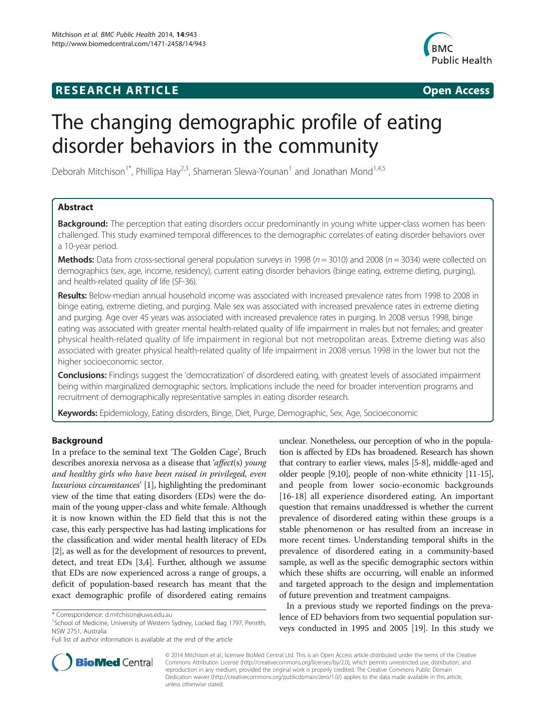# **RESEARCH ARTICLE Example 2014 CONSIDERING CONSIDERING CONSIDERING CONSIDERING CONSIDERING CONSIDERING CONSIDERING CONSIDERING CONSIDERING CONSIDERING CONSIDERING CONSIDERING CONSIDERING CONSIDERING CONSIDERING CONSIDE**



# The changing demographic profile of eating disorder behaviors in the community

Deborah Mitchison<sup>1\*</sup>, Phillipa Hay<sup>2,3</sup>, Shameran Slewa-Younan<sup>1</sup> and Jonathan Mond<sup>1,4,5</sup>

# Abstract

Background: The perception that eating disorders occur predominantly in young white upper-class women has been challenged. This study examined temporal differences to the demographic correlates of eating disorder behaviors over a 10-year period.

**Methods:** Data from cross-sectional general population surveys in 1998 ( $n = 3010$ ) and 2008 ( $n = 3034$ ) were collected on demographics (sex, age, income, residency), current eating disorder behaviors (binge eating, extreme dieting, purging), and health-related quality of life (SF-36).

Results: Below-median annual household income was associated with increased prevalence rates from 1998 to 2008 in binge eating, extreme dieting, and purging. Male sex was associated with increased prevalence rates in extreme dieting and purging. Age over 45 years was associated with increased prevalence rates in purging. In 2008 versus 1998, binge eating was associated with greater mental health-related quality of life impairment in males but not females; and greater physical health-related quality of life impairment in regional but not metropolitan areas. Extreme dieting was also associated with greater physical health-related quality of life impairment in 2008 versus 1998 in the lower but not the higher socioeconomic sector.

Conclusions: Findings suggest the 'democratization' of disordered eating, with greatest levels of associated impairment being within marginalized demographic sectors. Implications include the need for broader intervention programs and recruitment of demographically representative samples in eating disorder research.

Keywords: Epidemiology, Eating disorders, Binge, Diet, Purge, Demographic, Sex, Age, Socioeconomic

# Background

In a preface to the seminal text 'The Golden Cage', Bruch describes anorexia nervosa as a disease that 'affect(s) young and healthy girls who have been raised in privileged, even luxurious circumstances' [\[1](#page-8-0)], highlighting the predominant view of the time that eating disorders (EDs) were the domain of the young upper-class and white female. Although it is now known within the ED field that this is not the case, this early perspective has had lasting implications for the classification and wider mental health literacy of EDs [[2\]](#page-8-0), as well as for the development of resources to prevent, detect, and treat EDs [\[3,4\]](#page-8-0). Further, although we assume that EDs are now experienced across a range of groups, a deficit of population-based research has meant that the exact demographic profile of disordered eating remains

Full list of author information is available at the end of the article

unclear. Nonetheless, our perception of who in the population is affected by EDs has broadened. Research has shown that contrary to earlier views, males [\[5-8\]](#page-8-0), middle-aged and older people [\[9,10](#page-8-0)], people of non-white ethnicity [\[11-15](#page-8-0)], and people from lower socio-economic backgrounds [[16-18\]](#page-8-0) all experience disordered eating. An important question that remains unaddressed is whether the current prevalence of disordered eating within these groups is a stable phenomenon or has resulted from an increase in more recent times. Understanding temporal shifts in the prevalence of disordered eating in a community-based sample, as well as the specific demographic sectors within which these shifts are occurring, will enable an informed and targeted approach to the design and implementation of future prevention and treatment campaigns.

In a previous study we reported findings on the prevalence of ED behaviors from two sequential population surveys conducted in 1995 and 2005 [[19\]](#page-8-0). In this study we



© 2014 Mitchison et al.; licensee BioMed Central Ltd. This is an Open Access article distributed under the terms of the Creative Commons Attribution License [\(http://creativecommons.org/licenses/by/2.0\)](http://creativecommons.org/licenses/by/2.0), which permits unrestricted use, distribution, and reproduction in any medium, provided the original work is properly credited. The Creative Commons Public Domain Dedication waiver [\(http://creativecommons.org/publicdomain/zero/1.0/](http://creativecommons.org/publicdomain/zero/1.0/)) applies to the data made available in this article, unless otherwise stated.

<sup>\*</sup> Correspondence: [d.mitchison@uws.edu.au](mailto:d.mitchison@uws.edu.au) <sup>1</sup>

<sup>&</sup>lt;sup>1</sup>School of Medicine, University of Western Sydney, Locked Bag 1797, Penrith, NSW 2751, Australia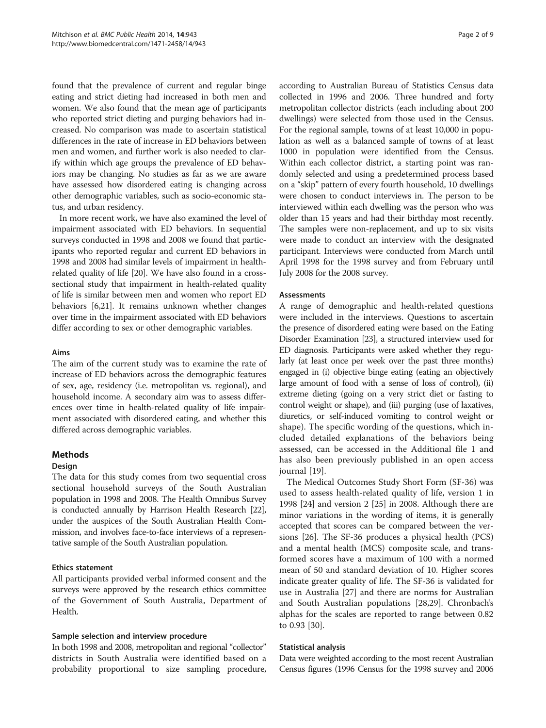found that the prevalence of current and regular binge eating and strict dieting had increased in both men and women. We also found that the mean age of participants who reported strict dieting and purging behaviors had increased. No comparison was made to ascertain statistical differences in the rate of increase in ED behaviors between men and women, and further work is also needed to clarify within which age groups the prevalence of ED behaviors may be changing. No studies as far as we are aware have assessed how disordered eating is changing across other demographic variables, such as socio-economic status, and urban residency.

In more recent work, we have also examined the level of impairment associated with ED behaviors. In sequential surveys conducted in 1998 and 2008 we found that participants who reported regular and current ED behaviors in 1998 and 2008 had similar levels of impairment in healthrelated quality of life [\[20](#page-8-0)]. We have also found in a crosssectional study that impairment in health-related quality of life is similar between men and women who report ED behaviors [[6,21](#page-8-0)]. It remains unknown whether changes over time in the impairment associated with ED behaviors differ according to sex or other demographic variables.

# Aims

The aim of the current study was to examine the rate of increase of ED behaviors across the demographic features of sex, age, residency (i.e. metropolitan vs. regional), and household income. A secondary aim was to assess differences over time in health-related quality of life impairment associated with disordered eating, and whether this differed across demographic variables.

# **Methods**

# Design

The data for this study comes from two sequential cross sectional household surveys of the South Australian population in 1998 and 2008. The Health Omnibus Survey is conducted annually by Harrison Health Research [\[22](#page-8-0)], under the auspices of the South Australian Health Commission, and involves face-to-face interviews of a representative sample of the South Australian population.

# Ethics statement

All participants provided verbal informed consent and the surveys were approved by the research ethics committee of the Government of South Australia, Department of Health.

## Sample selection and interview procedure

In both 1998 and 2008, metropolitan and regional "collector" districts in South Australia were identified based on a probability proportional to size sampling procedure,

according to Australian Bureau of Statistics Census data collected in 1996 and 2006. Three hundred and forty metropolitan collector districts (each including about 200 dwellings) were selected from those used in the Census. For the regional sample, towns of at least 10,000 in population as well as a balanced sample of towns of at least 1000 in population were identified from the Census. Within each collector district, a starting point was randomly selected and using a predetermined process based on a "skip" pattern of every fourth household, 10 dwellings were chosen to conduct interviews in. The person to be interviewed within each dwelling was the person who was older than 15 years and had their birthday most recently. The samples were non-replacement, and up to six visits were made to conduct an interview with the designated participant. Interviews were conducted from March until April 1998 for the 1998 survey and from February until July 2008 for the 2008 survey.

# Assessments

A range of demographic and health-related questions were included in the interviews. Questions to ascertain the presence of disordered eating were based on the Eating Disorder Examination [[23](#page-8-0)], a structured interview used for ED diagnosis. Participants were asked whether they regularly (at least once per week over the past three months) engaged in (i) objective binge eating (eating an objectively large amount of food with a sense of loss of control), (ii) extreme dieting (going on a very strict diet or fasting to control weight or shape), and (iii) purging (use of laxatives, diuretics, or self-induced vomiting to control weight or shape). The specific wording of the questions, which included detailed explanations of the behaviors being assessed, can be accessed in the Additional file [1](#page-7-0) and has also been previously published in an open access journal [\[19](#page-8-0)].

The Medical Outcomes Study Short Form (SF-36) was used to assess health-related quality of life, version 1 in 1998 [[24](#page-8-0)] and version 2 [[25](#page-8-0)] in 2008. Although there are minor variations in the wording of items, it is generally accepted that scores can be compared between the versions [[26](#page-8-0)]. The SF-36 produces a physical health (PCS) and a mental health (MCS) composite scale, and transformed scores have a maximum of 100 with a normed mean of 50 and standard deviation of 10. Higher scores indicate greater quality of life. The SF-36 is validated for use in Australia [\[27](#page-8-0)] and there are norms for Australian and South Australian populations [\[28,29](#page-8-0)]. Chronbach's alphas for the scales are reported to range between 0.82 to 0.93 [[30\]](#page-8-0).

## Statistical analysis

Data were weighted according to the most recent Australian Census figures (1996 Census for the 1998 survey and 2006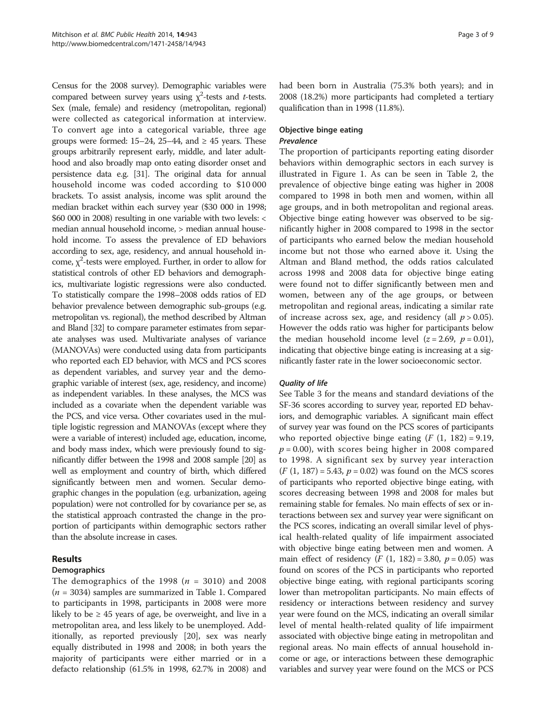Census for the 2008 survey). Demographic variables were compared between survey years using  $\chi^2$ -tests and *t*-tests. Sex (male, female) and residency (metropolitan, regional) were collected as categorical information at interview. To convert age into a categorical variable, three age groups were formed: 15–24, 25–44, and  $\geq$  45 years. These groups arbitrarily represent early, middle, and later adulthood and also broadly map onto eating disorder onset and persistence data e.g. [[31](#page-8-0)]. The original data for annual household income was coded according to \$10 000 brackets. To assist analysis, income was split around the median bracket within each survey year (\$30 000 in 1998; \$60 000 in 2008) resulting in one variable with two levels: < median annual household income, > median annual household income. To assess the prevalence of ED behaviors according to sex, age, residency, and annual household income,  $\chi^2$ -tests were employed. Further, in order to allow for statistical controls of other ED behaviors and demographics, multivariate logistic regressions were also conducted. To statistically compare the 1998–2008 odds ratios of ED behavior prevalence between demographic sub-groups (e.g. metropolitan vs. regional), the method described by Altman and Bland [[32](#page-8-0)] to compare parameter estimates from separate analyses was used. Multivariate analyses of variance (MANOVAs) were conducted using data from participants who reported each ED behavior, with MCS and PCS scores as dependent variables, and survey year and the demographic variable of interest (sex, age, residency, and income) as independent variables. In these analyses, the MCS was included as a covariate when the dependent variable was the PCS, and vice versa. Other covariates used in the multiple logistic regression and MANOVAs (except where they were a variable of interest) included age, education, income, and body mass index, which were previously found to significantly differ between the 1998 and 2008 sample [[20](#page-8-0)] as well as employment and country of birth, which differed significantly between men and women. Secular demographic changes in the population (e.g. urbanization, ageing population) were not controlled for by covariance per se, as the statistical approach contrasted the change in the proportion of participants within demographic sectors rather than the absolute increase in cases.

# Results

# **Demographics**

The demographics of the 1998 ( $n = 3010$ ) and 2008  $(n = 3034)$  samples are summarized in Table [1](#page-3-0). Compared to participants in 1998, participants in 2008 were more likely to be  $\geq$  45 years of age, be overweight, and live in a metropolitan area, and less likely to be unemployed. Additionally, as reported previously [[20](#page-8-0)], sex was nearly equally distributed in 1998 and 2008; in both years the majority of participants were either married or in a defacto relationship (61.5% in 1998, 62.7% in 2008) and had been born in Australia (75.3% both years); and in 2008 (18.2%) more participants had completed a tertiary qualification than in 1998 (11.8%).

# Objective binge eating Prevalence

The proportion of participants reporting eating disorder behaviors within demographic sectors in each survey is illustrated in Figure [1.](#page-4-0) As can be seen in Table [2,](#page-5-0) the prevalence of objective binge eating was higher in 2008 compared to 1998 in both men and women, within all age groups, and in both metropolitan and regional areas. Objective binge eating however was observed to be significantly higher in 2008 compared to 1998 in the sector of participants who earned below the median household income but not those who earned above it. Using the Altman and Bland method, the odds ratios calculated across 1998 and 2008 data for objective binge eating were found not to differ significantly between men and women, between any of the age groups, or between metropolitan and regional areas, indicating a similar rate of increase across sex, age, and residency (all  $p > 0.05$ ). However the odds ratio was higher for participants below the median household income level  $(z = 2.69, p = 0.01)$ , indicating that objective binge eating is increasing at a significantly faster rate in the lower socioeconomic sector.

# Quality of life

See Table [3](#page-6-0) for the means and standard deviations of the SF-36 scores according to survey year, reported ED behaviors, and demographic variables. A significant main effect of survey year was found on the PCS scores of participants who reported objective binge eating  $(F (1, 182) = 9.19,$  $p = 0.00$ , with scores being higher in 2008 compared to 1998. A significant sex by survey year interaction  $(F (1, 187) = 5.43, p = 0.02)$  was found on the MCS scores of participants who reported objective binge eating, with scores decreasing between 1998 and 2008 for males but remaining stable for females. No main effects of sex or interactions between sex and survey year were significant on the PCS scores, indicating an overall similar level of physical health-related quality of life impairment associated with objective binge eating between men and women. A main effect of residency (*F* (1, 182) = 3.80,  $p = 0.05$ ) was found on scores of the PCS in participants who reported objective binge eating, with regional participants scoring lower than metropolitan participants. No main effects of residency or interactions between residency and survey year were found on the MCS, indicating an overall similar level of mental health-related quality of life impairment associated with objective binge eating in metropolitan and regional areas. No main effects of annual household income or age, or interactions between these demographic variables and survey year were found on the MCS or PCS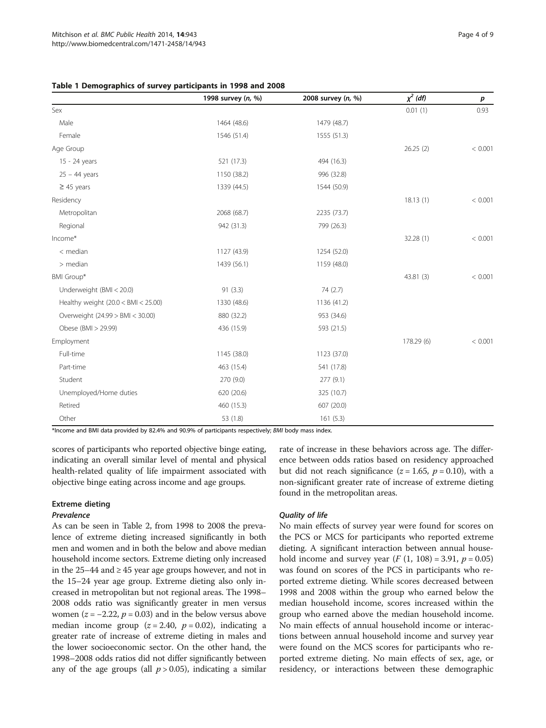<span id="page-3-0"></span>

|                                      | 1998 survey (n, %) | 2008 survey (n, %) | $\chi^2$ (df) | p       |
|--------------------------------------|--------------------|--------------------|---------------|---------|
| Sex                                  |                    |                    | 0.01(1)       | 0.93    |
| Male                                 | 1464 (48.6)        | 1479 (48.7)        |               |         |
| Female                               | 1546 (51.4)        | 1555 (51.3)        |               |         |
| Age Group                            |                    |                    | 26.25(2)      | < 0.001 |
| 15 - 24 years                        | 521 (17.3)         | 494 (16.3)         |               |         |
| $25 - 44$ years                      | 1150 (38.2)        | 996 (32.8)         |               |         |
| $\geq$ 45 years                      | 1339 (44.5)        | 1544 (50.9)        |               |         |
| Residency                            |                    |                    | 18.13(1)      | < 0.001 |
| Metropolitan                         | 2068 (68.7)        | 2235 (73.7)        |               |         |
| Regional                             | 942 (31.3)         | 799 (26.3)         |               |         |
| Income*                              |                    |                    | 32.28(1)      | < 0.001 |
| $<$ median                           | 1127 (43.9)        | 1254 (52.0)        |               |         |
| $>$ median                           | 1439 (56.1)        | 1159 (48.0)        |               |         |
| BMI Group*                           |                    |                    | 43.81 (3)     | < 0.001 |
| Underweight (BMI < 20.0)             | 91(3.3)            | 74 (2.7)           |               |         |
| Healthy weight $(20.0 < BM < 25.00)$ | 1330 (48.6)        | 1136 (41.2)        |               |         |
| Overweight (24.99 > BMI < 30.00)     | 880 (32.2)         | 953 (34.6)         |               |         |
| Obese (BMI > 29.99)                  | 436 (15.9)         | 593 (21.5)         |               |         |
| Employment                           |                    |                    | 178.29 (6)    | < 0.001 |
| Full-time                            | 1145 (38.0)        | 1123 (37.0)        |               |         |
| Part-time                            | 463 (15.4)         | 541 (17.8)         |               |         |
| Student                              | 270 (9.0)          | 277(9.1)           |               |         |
| Unemployed/Home duties               | 620 (20.6)         | 325 (10.7)         |               |         |
| Retired                              | 460 (15.3)         | 607 (20.0)         |               |         |
| Other                                | 53 (1.8)           | 161(5.3)           |               |         |

\*Income and BMI data provided by 82.4% and 90.9% of participants respectively; BMI body mass index.

scores of participants who reported objective binge eating, indicating an overall similar level of mental and physical health-related quality of life impairment associated with objective binge eating across income and age groups.

# Extreme dieting

## Prevalence

As can be seen in Table [2](#page-5-0), from 1998 to 2008 the prevalence of extreme dieting increased significantly in both men and women and in both the below and above median household income sectors. Extreme dieting only increased in the 25–44 and ≥ 45 year age groups however, and not in the 15–24 year age group. Extreme dieting also only increased in metropolitan but not regional areas. The 1998– 2008 odds ratio was significantly greater in men versus women ( $z = -2.22$ ,  $p = 0.03$ ) and in the below versus above median income group ( $z = 2.40$ ,  $p = 0.02$ ), indicating a greater rate of increase of extreme dieting in males and the lower socioeconomic sector. On the other hand, the 1998–2008 odds ratios did not differ significantly between any of the age groups (all  $p > 0.05$ ), indicating a similar

rate of increase in these behaviors across age. The difference between odds ratios based on residency approached but did not reach significance ( $z = 1.65$ ,  $p = 0.10$ ), with a non-significant greater rate of increase of extreme dieting found in the metropolitan areas.

# Quality of life

No main effects of survey year were found for scores on the PCS or MCS for participants who reported extreme dieting. A significant interaction between annual household income and survey year (*F* (1, 108) = 3.91,  $p = 0.05$ ) was found on scores of the PCS in participants who reported extreme dieting. While scores decreased between 1998 and 2008 within the group who earned below the median household income, scores increased within the group who earned above the median household income. No main effects of annual household income or interactions between annual household income and survey year were found on the MCS scores for participants who reported extreme dieting. No main effects of sex, age, or residency, or interactions between these demographic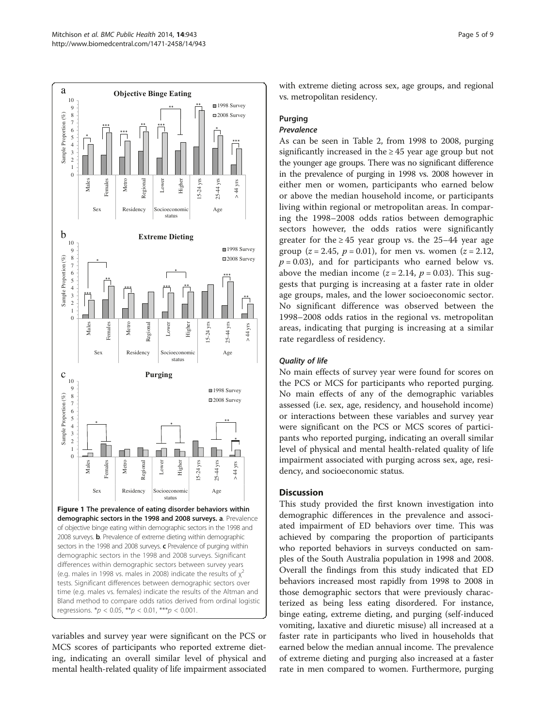<span id="page-4-0"></span>

time (e.g. males vs. females) indicate the results of the Altman and Bland method to compare odds ratios derived from ordinal logistic regressions.  $np < 0.05$ ,  $**p < 0.01$ ,  $***p < 0.001$ .

variables and survey year were significant on the PCS or MCS scores of participants who reported extreme dieting, indicating an overall similar level of physical and mental health-related quality of life impairment associated with extreme dieting across sex, age groups, and regional vs. metropolitan residency.

# Purging

# Prevalence

As can be seen in Table [2,](#page-5-0) from 1998 to 2008, purging significantly increased in the  $\geq$  45 year age group but not the younger age groups. There was no significant difference in the prevalence of purging in 1998 vs. 2008 however in either men or women, participants who earned below or above the median household income, or participants living within regional or metropolitan areas. In comparing the 1998–2008 odds ratios between demographic sectors however, the odds ratios were significantly greater for the  $\geq 45$  year group vs. the 25–44 year age group ( $z = 2.45$ ,  $p = 0.01$ ), for men vs. women ( $z = 2.12$ ,  $p = 0.03$ ), and for participants who earned below vs. above the median income ( $z = 2.14$ ,  $p = 0.03$ ). This suggests that purging is increasing at a faster rate in older age groups, males, and the lower socioeconomic sector. No significant difference was observed between the 1998–2008 odds ratios in the regional vs. metropolitan areas, indicating that purging is increasing at a similar rate regardless of residency.

# Quality of life

No main effects of survey year were found for scores on the PCS or MCS for participants who reported purging. No main effects of any of the demographic variables assessed (i.e. sex, age, residency, and household income) or interactions between these variables and survey year were significant on the PCS or MCS scores of participants who reported purging, indicating an overall similar level of physical and mental health-related quality of life impairment associated with purging across sex, age, residency, and socioeconomic status.

# **Discussion**

This study provided the first known investigation into demographic differences in the prevalence and associated impairment of ED behaviors over time. This was achieved by comparing the proportion of participants who reported behaviors in surveys conducted on samples of the South Australia population in 1998 and 2008. Overall the findings from this study indicated that ED behaviors increased most rapidly from 1998 to 2008 in those demographic sectors that were previously characterized as being less eating disordered. For instance, binge eating, extreme dieting, and purging (self-induced vomiting, laxative and diuretic misuse) all increased at a faster rate in participants who lived in households that earned below the median annual income. The prevalence of extreme dieting and purging also increased at a faster rate in men compared to women. Furthermore, purging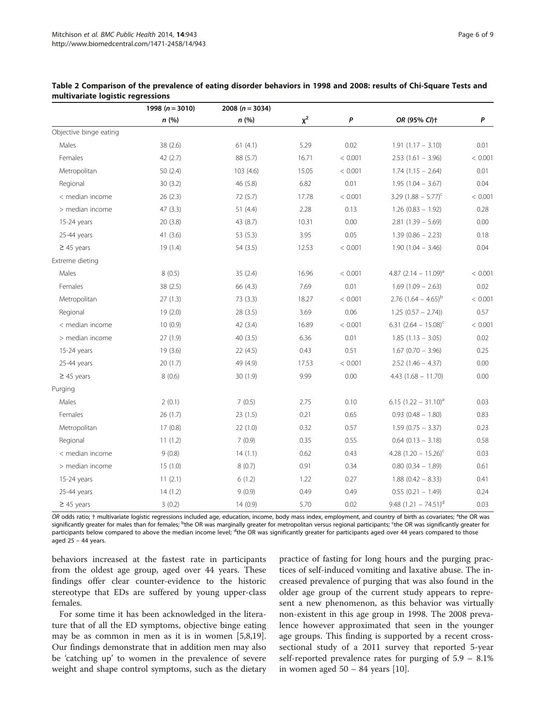|                        | 1998 ( $n = 3010$ ) | 2008 ( $n = 3034$ ) |       |         |                                   |         |
|------------------------|---------------------|---------------------|-------|---------|-----------------------------------|---------|
|                        | n(%)                | n(%)                | $x^2$ | P       | OR (95% CI)+                      | P       |
| Objective binge eating |                     |                     |       |         |                                   |         |
| Males                  | 38(2.6)             | 61(4.1)             | 5.29  | 0.02    | $1.91(1.17 - 3.10)$               | 0.01    |
| Females                | 42(2.7)             | 88 (5.7)            | 16.71 | < 0.001 | $2.53(1.61 - 3.96)$               | < 0.001 |
| Metropolitan           | 50(2.4)             | 103(4.6)            | 15.05 | < 0.001 | $1.74$ $(1.15 - 2.64)$            | 0.01    |
| Regional               | 30(3.2)             | 46 (5.8)            | 6.82  | 0.01    | $1.95(1.04 - 3.67)$               | 0.04    |
| < median income        | 26(2.3)             | 72(5.7)             | 17.78 | < 0.001 | 3.29 $(1.88 - 5.77)^{c}$          | < 0.001 |
| > median income        | 47(3.3)             | 51(4.4)             | 2.28  | 0.13    | $1.26(0.83 - 1.92)$               | 0.28    |
| 15-24 years            | 20 (3.8)            | 43 (8.7)            | 10.31 | 0.00    | $2.81$ (1.39 - 5.69)              | 0.00    |
| 25-44 years            | 41(3.6)             | 53 (5.3)            | 3.95  | 0.05    | $1.39(0.86 - 2.23)$               | 0.18    |
| $\geq$ 45 years        | 19(1.4)             | 54 (3.5)            | 12.53 | < 0.001 | $1.90(1.04 - 3.46)$               | 0.04    |
| Extreme dieting        |                     |                     |       |         |                                   |         |
| Males                  | 8(0.5)              | 35(2.4)             | 16.96 | < 0.001 | 4.87 $(2.14 - 11.09)^{a}$         | < 0.001 |
| Females                | 38(2.5)             | 66 (4.3)            | 7.69  | 0.01    | $1.69(1.09 - 2.63)$               | 0.02    |
| Metropolitan           | 27(1.3)             | 73(3.3)             | 18.27 | < 0.001 | $2.76$ (1.64 – 4.65) <sup>b</sup> | < 0.001 |
| Regional               | 19(2.0)             | 28(3.5)             | 3.69  | 0.06    | $1.25(0.57 - 2.74)$               | 0.57    |
| < median income        | 10(0.9)             | 42 (3.4)            | 16.89 | < 0.001 | 6.31 $(2.64 - 15.08)^c$           | < 0.001 |
| > median income        | 27(1.9)             | 40(3.5)             | 6.36  | 0.01    | $1.85(1.13 - 3.05)$               | 0.02    |
| 15-24 years            | 19(3.6)             | 22(4.5)             | 0.43  | 0.51    | $1.67$ (0.70 - 3.96)              | 0.25    |
| 25-44 years            | 20 (1.7)            | 49 (4.9)            | 17.53 | < 0.001 | $2.52$ (1.46 - 4.37)              | 0.00    |
| $\geq$ 45 years        | 8(0.6)              | 30(1.9)             | 9.99  | 0.00    | $4.43(1.68 - 11.70)$              | 0.00    |
| Purging                |                     |                     |       |         |                                   |         |
| Males                  | 2(0.1)              | 7(0.5)              | 2.75  | 0.10    | 6.15 $(1.22 - 31.10)^{a}$         | 0.03    |
| Females                | 26 (1.7)            | 23(1.5)             | 0.21  | 0.65    | $0.93(0.48 - 1.80)$               | 0.83    |
| Metropolitan           | 17(0.8)             | 22(1.0)             | 0.32  | 0.57    | $1.59(0.75 - 3.37)$               | 0.23    |
| Regional               | 11(1.2)             | 7(0.9)              | 0.35  | 0.55    | $0.64$ (0.13 - 3.18)              | 0.58    |
| < median income        | 9(0.8)              | 14(1.1)             | 0.62  | 0.43    | 4.28 $(1.20 - 15.26)^{c}$         | 0.03    |
| > median income        | 15(1.0)             | 8(0.7)              | 0.91  | 0.34    | $0.80$ $(0.34 - 1.89)$            | 0.61    |
| 15-24 years            | 11(2.1)             | 6(1.2)              | 1.22  | 0.27    | $1.88(0.42 - 8.33)$               | 0.41    |
| 25-44 years            | 14(1.2)             | 9(0.9)              | 0.49  | 0.49    | $0.55(0.21 - 1.49)$               | 0.24    |
| $\geq 45$ years        | 3(0.2)              | 14(0.9)             | 5.70  | 0.02    | 9.48 $(1.21 - 74.51)^d$           | 0.03    |

<span id="page-5-0"></span>

| Table 2 Comparison of the prevalence of eating disorder behaviors in 1998 and 2008: results of Chi-Square Tests and |  |
|---------------------------------------------------------------------------------------------------------------------|--|
| multivariate logistic regressions                                                                                   |  |

OR odds ratio; † multivariate logistic regressions included age, education, income, body mass index, employment, and country of birth as covariates; <sup>a</sup>the OR was significantly greater for males than for females; <sup>b</sup>the OR was marginally greater for metropolitan versus regional participants; <sup>c</sup>the OR was significantly greater for participants below compared to above the median income level; <sup>d</sup>the OR was significantly greater for participants aged over 44 years compared to those aged 25 – 44 years.

behaviors increased at the fastest rate in participants from the oldest age group, aged over 44 years. These findings offer clear counter-evidence to the historic stereotype that EDs are suffered by young upper-class females.

For some time it has been acknowledged in the literature that of all the ED symptoms, objective binge eating may be as common in men as it is in women [\[5,8,19](#page-8-0)]. Our findings demonstrate that in addition men may also be 'catching up' to women in the prevalence of severe weight and shape control symptoms, such as the dietary

practice of fasting for long hours and the purging practices of self-induced vomiting and laxative abuse. The increased prevalence of purging that was also found in the older age group of the current study appears to represent a new phenomenon, as this behavior was virtually non-existent in this age group in 1998. The 2008 prevalence however approximated that seen in the younger age groups. This finding is supported by a recent crosssectional study of a 2011 survey that reported 5-year self-reported prevalence rates for purging of 5.9 – 8.1% in women aged  $50 - 84$  years [\[10](#page-8-0)].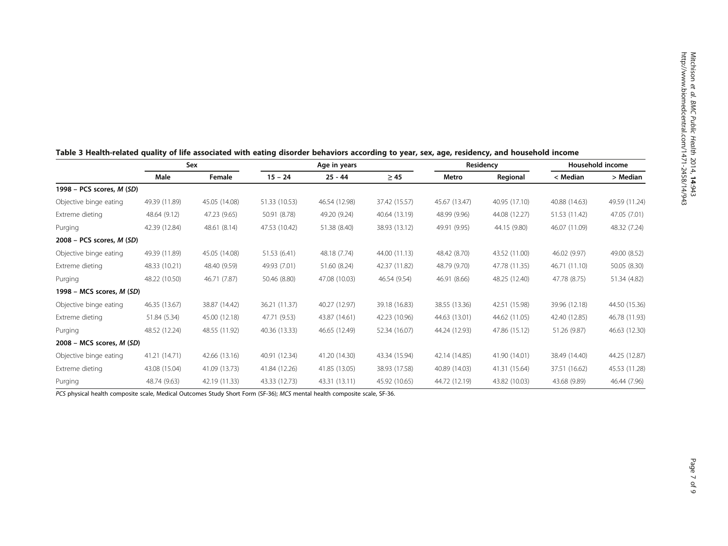|                                  | Sex           |               |               | Age in years  |               | Residency     |               | Household income |               |
|----------------------------------|---------------|---------------|---------------|---------------|---------------|---------------|---------------|------------------|---------------|
|                                  | Male          | Female        | $15 - 24$     | $25 - 44$     | $\geq 45$     | Metro         | Regional      | < Median         | > Median      |
| 1998 - PCS scores, <i>M (SD)</i> |               |               |               |               |               |               |               |                  |               |
| Objective binge eating           | 49.39 (11.89) | 45.05 (14.08) | 51.33 (10.53) | 46.54 (12.98) | 37.42 (15.57) | 45.67 (13.47) | 40.95 (17.10) | 40.88 (14.63)    | 49.59 (11.24) |
| Extreme dieting                  | 48.64 (9.12)  | 47.23 (9.65)  | 50.91 (8.78)  | 49.20 (9.24)  | 40.64 (13.19) | 48.99 (9.96)  | 44.08 (12.27) | 51.53 (11.42)    | 47.05 (7.01)  |
| Purging                          | 42.39 (12.84) | 48.61 (8.14)  | 47.53 (10.42) | 51.38 (8.40)  | 38.93 (13.12) | 49.91 (9.95)  | 44.15 (9.80)  | 46.07 (11.09)    | 48.32 (7.24)  |
| $2008$ – PCS scores, M (SD)      |               |               |               |               |               |               |               |                  |               |
| Objective binge eating           | 49.39 (11.89) | 45.05 (14.08) | 51.53 (6.41)  | 48.18 (7.74)  | 44.00 (11.13) | 48.42 (8.70)  | 43.52 (11.00) | 46.02 (9.97)     | 49.00 (8.52)  |
| Extreme dieting                  | 48.33 (10.21) | 48.40 (9.59)  | 49.93 (7.01)  | 51.60 (8.24)  | 42.37 (11.82) | 48.79 (9.70)  | 47.78 (11.35) | 46.71 (11.10)    | 50.05 (8.30)  |
| Purging                          | 48.22 (10.50) | 46.71 (7.87)  | 50.46 (8.80)  | 47.08 (10.03) | 46.54 (9.54)  | 46.91 (8.66)  | 48.25 (12.40) | 47.78 (8.75)     | 51.34 (4.82)  |
| 1998 - MCS scores, M (SD)        |               |               |               |               |               |               |               |                  |               |
| Objective binge eating           | 46.35 (13.67) | 38.87 (14.42) | 36.21 (11.37) | 40.27 (12.97) | 39.18 (16.83) | 38.55 (13.36) | 42.51 (15.98) | 39.96 (12.18)    | 44.50 (15.36) |
| Extreme dieting                  | 51.84 (5.34)  | 45.00 (12.18) | 47.71 (9.53)  | 43.87 (14.61) | 42.23 (10.96) | 44.63 (13.01) | 44.62 (11.05) | 42.40 (12.85)    | 46.78 (11.93) |
| Purging                          | 48.52 (12.24) | 48.55 (11.92) | 40.36 (13.33) | 46.65 (12.49) | 52.34 (16.07) | 44.24 (12.93) | 47.86 (15.12) | 51.26 (9.87)     | 46.63 (12.30) |
| 2008 - MCS scores, M (SD)        |               |               |               |               |               |               |               |                  |               |
| Objective binge eating           | 41.21 (14.71) | 42.66 (13.16) | 40.91 (12.34) | 41.20 (14.30) | 43.34 (15.94) | 42.14 (14.85) | 41.90 (14.01) | 38.49 (14.40)    | 44.25 (12.87) |
| Extreme dieting                  | 43.08 (15.04) | 41.09 (13.73) | 41.84 (12.26) | 41.85 (13.05) | 38.93 (17.58) | 40.89 (14.03) | 41.31 (15.64) | 37.51 (16.62)    | 45.53 (11.28) |
| Purging                          | 48.74 (9.63)  | 42.19 (11.33) | 43.33 (12.73) | 43.31 (13.11) | 45.92 (10.65) | 44.72 (12.19) | 43.82 (10.03) | 43.68 (9.89)     | 46.44 (7.96)  |

# <span id="page-6-0"></span>Table 3 Health-related quality of life associated with eating disorder behaviors according to year, sex, age, residency, and household income

PCS physical health composite scale, Medical Outcomes Study Short Form (SF-36); MCS mental health composite scale, SF-36.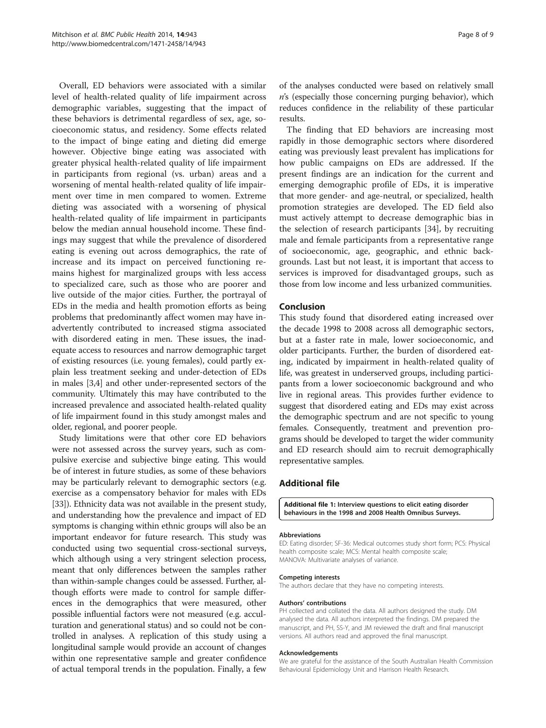<span id="page-7-0"></span>Overall, ED behaviors were associated with a similar level of health-related quality of life impairment across demographic variables, suggesting that the impact of these behaviors is detrimental regardless of sex, age, socioeconomic status, and residency. Some effects related to the impact of binge eating and dieting did emerge however. Objective binge eating was associated with greater physical health-related quality of life impairment in participants from regional (vs. urban) areas and a worsening of mental health-related quality of life impairment over time in men compared to women. Extreme dieting was associated with a worsening of physical health-related quality of life impairment in participants below the median annual household income. These findings may suggest that while the prevalence of disordered eating is evening out across demographics, the rate of increase and its impact on perceived functioning remains highest for marginalized groups with less access to specialized care, such as those who are poorer and live outside of the major cities. Further, the portrayal of EDs in the media and health promotion efforts as being problems that predominantly affect women may have inadvertently contributed to increased stigma associated with disordered eating in men. These issues, the inadequate access to resources and narrow demographic target of existing resources (i.e. young females), could partly explain less treatment seeking and under-detection of EDs in males [\[3,4](#page-8-0)] and other under-represented sectors of the community. Ultimately this may have contributed to the increased prevalence and associated health-related quality of life impairment found in this study amongst males and older, regional, and poorer people.

Study limitations were that other core ED behaviors were not assessed across the survey years, such as compulsive exercise and subjective binge eating. This would be of interest in future studies, as some of these behaviors may be particularly relevant to demographic sectors (e.g. exercise as a compensatory behavior for males with EDs [[33](#page-8-0)]). Ethnicity data was not available in the present study, and understanding how the prevalence and impact of ED symptoms is changing within ethnic groups will also be an important endeavor for future research. This study was conducted using two sequential cross-sectional surveys, which although using a very stringent selection process, meant that only differences between the samples rather than within-sample changes could be assessed. Further, although efforts were made to control for sample differences in the demographics that were measured, other possible influential factors were not measured (e.g. acculturation and generational status) and so could not be controlled in analyses. A replication of this study using a longitudinal sample would provide an account of changes within one representative sample and greater confidence of actual temporal trends in the population. Finally, a few of the analyses conducted were based on relatively small  $n$ 's (especially those concerning purging behavior), which reduces confidence in the reliability of these particular results.

The finding that ED behaviors are increasing most rapidly in those demographic sectors where disordered eating was previously least prevalent has implications for how public campaigns on EDs are addressed. If the present findings are an indication for the current and emerging demographic profile of EDs, it is imperative that more gender- and age-neutral, or specialized, health promotion strategies are developed. The ED field also must actively attempt to decrease demographic bias in the selection of research participants [\[34\]](#page-8-0), by recruiting male and female participants from a representative range of socioeconomic, age, geographic, and ethnic backgrounds. Last but not least, it is important that access to services is improved for disadvantaged groups, such as those from low income and less urbanized communities.

## Conclusion

This study found that disordered eating increased over the decade 1998 to 2008 across all demographic sectors, but at a faster rate in male, lower socioeconomic, and older participants. Further, the burden of disordered eating, indicated by impairment in health-related quality of life, was greatest in underserved groups, including participants from a lower socioeconomic background and who live in regional areas. This provides further evidence to suggest that disordered eating and EDs may exist across the demographic spectrum and are not specific to young females. Consequently, treatment and prevention programs should be developed to target the wider community and ED research should aim to recruit demographically representative samples.

# Additional file

[Additional file 1:](http://www.biomedcentral.com/content/supplementary/1471-2458-14-943-S1.doc) Interview questions to elicit eating disorder behaviours in the 1998 and 2008 Health Omnibus Surveys.

#### Abbreviations

ED: Eating disorder; SF-36: Medical outcomes study short form; PCS: Physical health composite scale; MCS: Mental health composite scale; MANOVA: Multivariate analyses of variance.

# Competing interests

The authors declare that they have no competing interests.

#### Authors' contributions

PH collected and collated the data. All authors designed the study. DM analysed the data. All authors interpreted the findings. DM prepared the manuscript, and PH, SS-Y, and JM reviewed the draft and final manuscript versions. All authors read and approved the final manuscript.

#### Acknowledgements

We are grateful for the assistance of the South Australian Health Commission Behavioural Epidemiology Unit and Harrison Health Research.